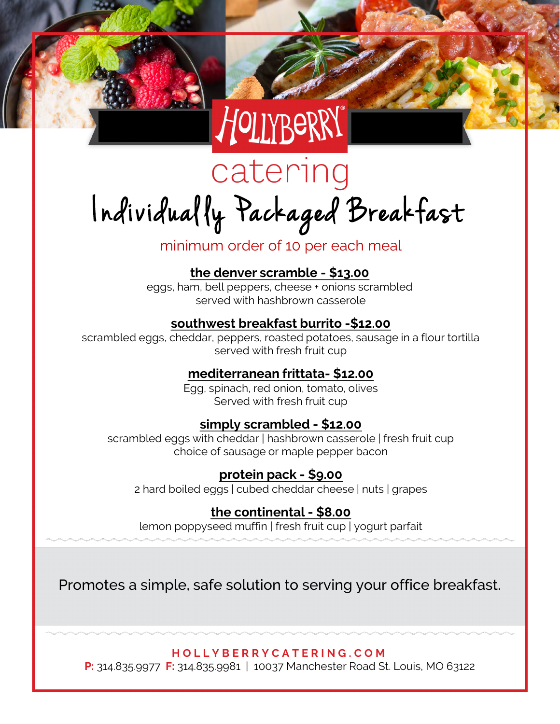

# catering Individual ly Packaged Breakfast

### minimum order of 10 per each meal

**the denver scramble - \$13.00**

eggs, ham, bell peppers, cheese + onions scrambled served with hashbrown casserole

#### **southwest breakfast burrito -\$12.00**

scrambled eggs, cheddar, peppers, roasted potatoes, sausage in a flour tortilla served with fresh fruit cup

#### **mediterranean frittata- \$12.00**

Egg, spinach, red onion, tomato, olives Served with fresh fruit cup

#### **simply scrambled - \$12.00**

scrambled eggs with cheddar | hashbrown casserole | fresh fruit cup choice of sausage or maple pepper bacon

#### **protein pack - \$9.00**

2 hard boiled eggs | cubed cheddar cheese | nuts | grapes

#### **the continental - \$8.00**

lemon poppyseed muffin | fresh fruit cup | yogurt parfait

Promotes a simple, safe solution to serving your office breakfast.

**HOLLYBERRYCATERING.COM**

**P:** 314.835.9977 **F:** 314.835.9981 | 10037 Manchester Road St. Louis, MO 63122